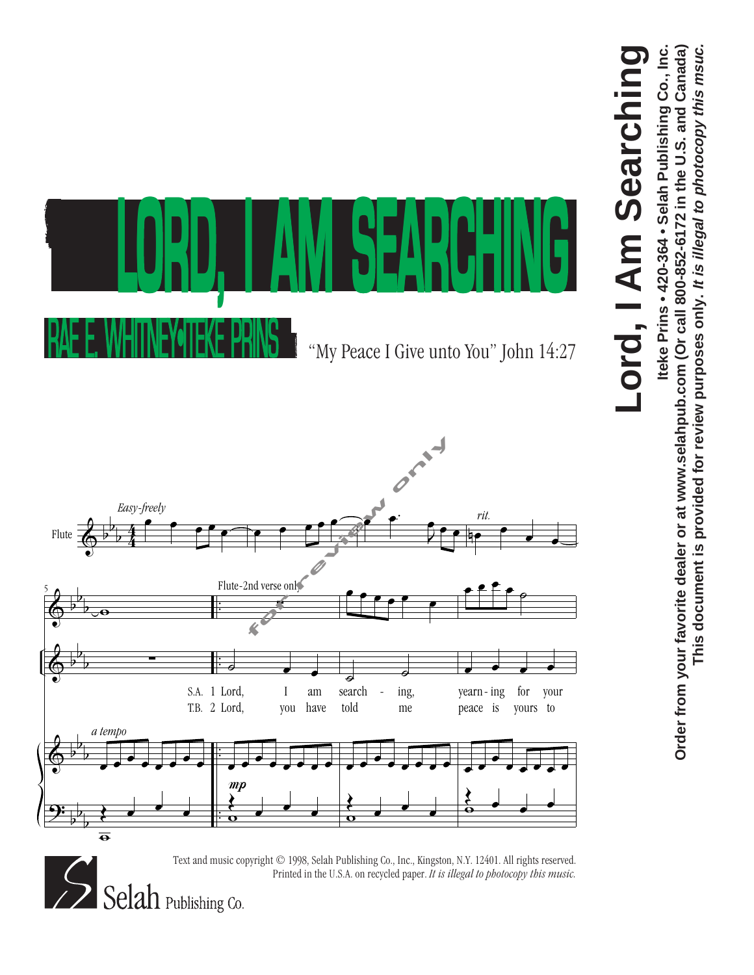Iteke Prins • 420-364 • Selah Publishing Co., Inc. Order from your favorite dealer or at www.selahpub.com (Or call 800-852-6172 in the U.S. and Canada) This document is provided for review purposes only. It is illegal to photocopy this msuc. **Iteke Prins • 420-364 • Selah Publishing Co., Inc. Order from your favorite dealer or at www.selahpub.com (Or call 800-852-6172 in the U.S. and Canada) This document is provided for review purposes only. It is illegal to photocopy this msuc.**

## **Lord, I Am Searching** Lord, I Am Searching

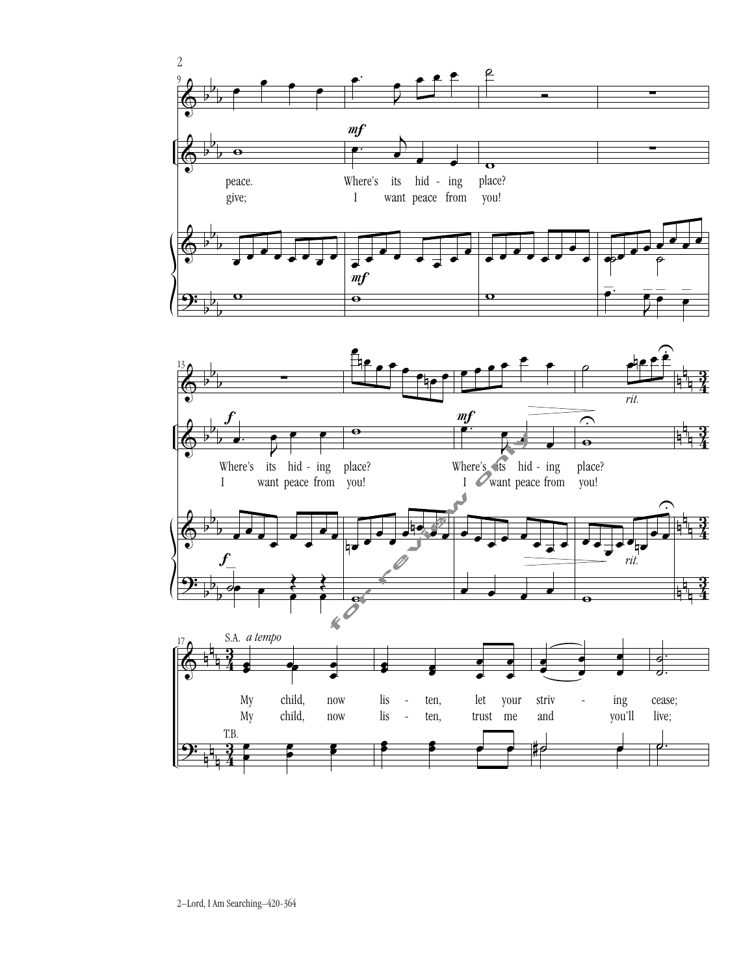

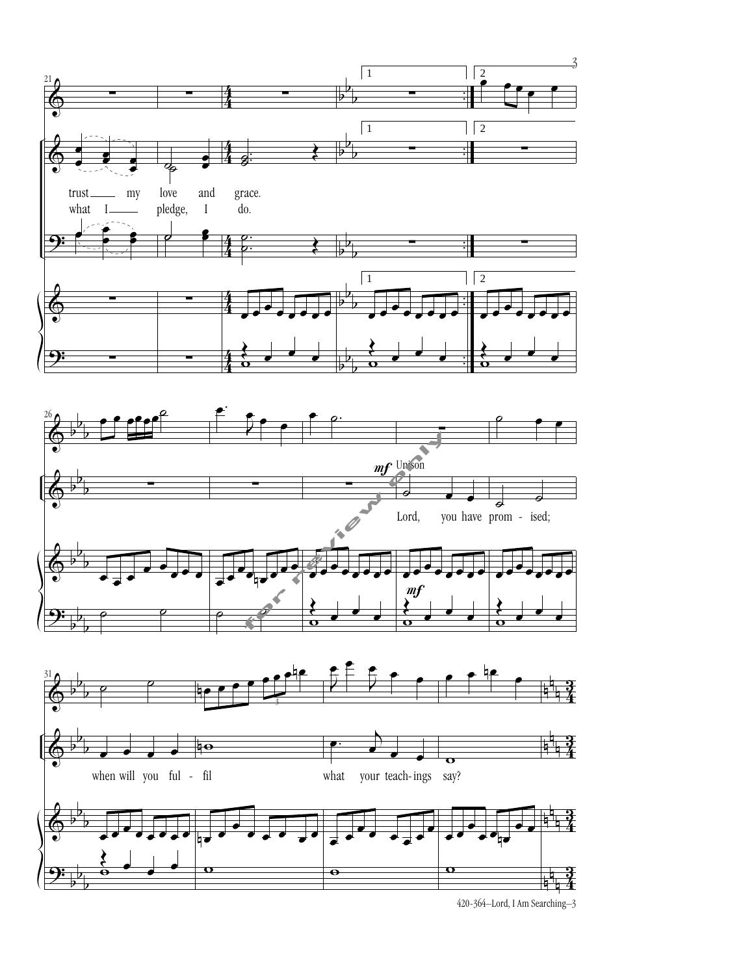